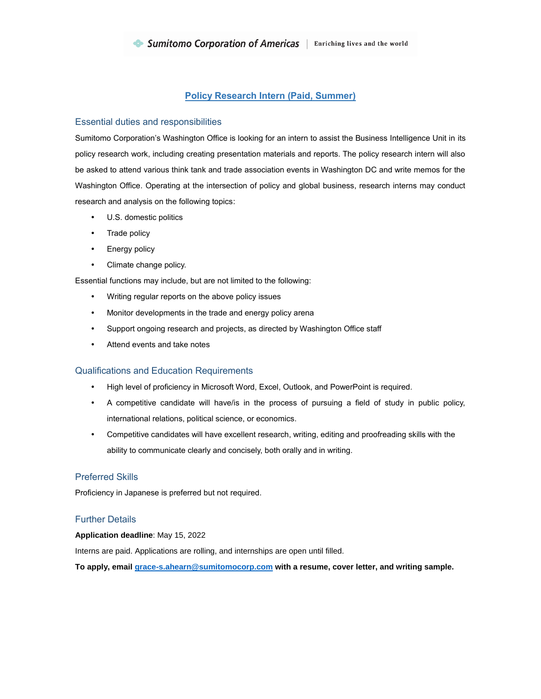# **Policy Research Intern (Paid, Summer)**

## Essential duties and responsibilities

Sumitomo Corporation's Washington Office is looking for an intern to assist the Business Intelligence Unit in its policy research work, including creating presentation materials and reports. The policy research intern will also be asked to attend various think tank and trade association events in Washington DC and write memos for the Washington Office. Operating at the intersection of policy and global business, research interns may conduct research and analysis on the following topics:

- U.S. domestic politics
- Trade policy
- Energy policy
- Climate change policy.

Essential functions may include, but are not limited to the following:

- Writing regular reports on the above policy issues
- Monitor developments in the trade and energy policy arena
- Support ongoing research and projects, as directed by Washington Office staff
- Attend events and take notes

### Qualifications and Education Requirements

- High level of proficiency in Microsoft Word, Excel, Outlook, and PowerPoint is required.
- A competitive candidate will have/is in the process of pursuing a field of study in public policy, international relations, political science, or economics.
- Competitive candidates will have excellent research, writing, editing and proofreading skills with the ability to communicate clearly and concisely, both orally and in writing.

# Preferred Skills

Proficiency in Japanese is preferred but not required.

### Further Details

#### **Application deadline**: May 15, 2022

Interns are paid. Applications are rolling, and internships are open until filled.

**To apply, emai[l grace-s.ahearn@sumitomocorp.com](mailto:grace-s.ahearn@sumitomocorp.com) with a resume, cover letter, and writing sample.**